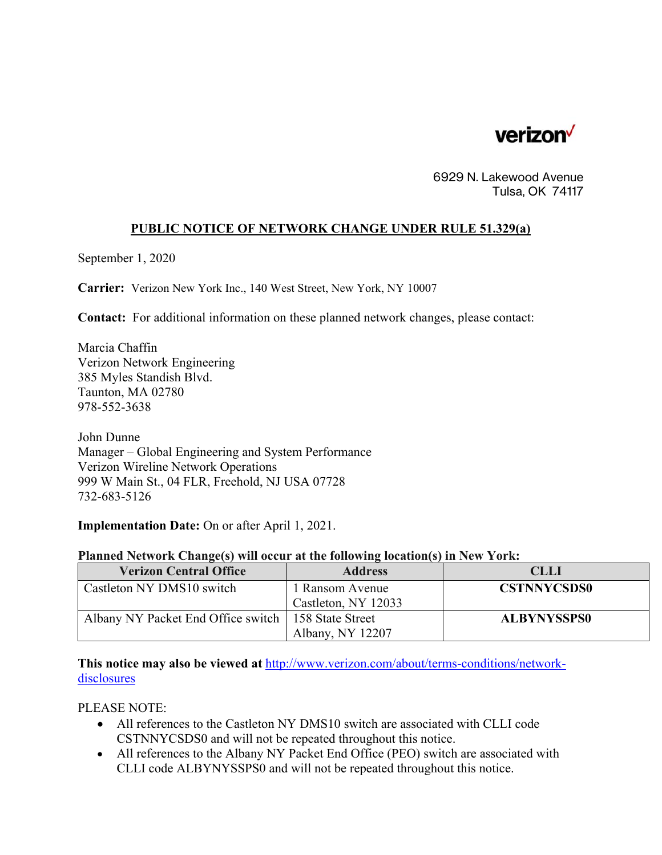

6929 N. Lakewood Avenue Tulsa, OK 74117

## **PUBLIC NOTICE OF NETWORK CHANGE UNDER RULE 51.329(a)**

September 1, 2020

**Carrier:** Verizon New York Inc., 140 West Street, New York, NY 10007

**Contact:** For additional information on these planned network changes, please contact:

Marcia Chaffin Verizon Network Engineering 385 Myles Standish Blvd. Taunton, MA 02780 978-552-3638

John Dunne Manager – Global Engineering and System Performance Verizon Wireline Network Operations 999 W Main St., 04 FLR, Freehold, NJ USA 07728 732-683-5126

**Implementation Date:** On or after April 1, 2021.

## **Planned Network Change(s) will occur at the following location(s) in New York:**

| <b>Verizon Central Office</b>      | <b>Address</b>      | <b>CLLI</b>        |
|------------------------------------|---------------------|--------------------|
| Castleton NY DMS10 switch          | 1 Ransom Avenue     | <b>CSTNNYCSDS0</b> |
|                                    | Castleton, NY 12033 |                    |
| Albany NY Packet End Office switch | 158 State Street    | <b>ALBYNYSSPS0</b> |
|                                    | Albany, NY 12207    |                    |

**This notice may also be viewed at** http://www.verizon.com/about/terms-conditions/networkdisclosures

PLEASE NOTE:

- All references to the Castleton NY DMS10 switch are associated with CLLI code CSTNNYCSDS0 and will not be repeated throughout this notice.
- All references to the Albany NY Packet End Office (PEO) switch are associated with CLLI code ALBYNYSSPS0 and will not be repeated throughout this notice.